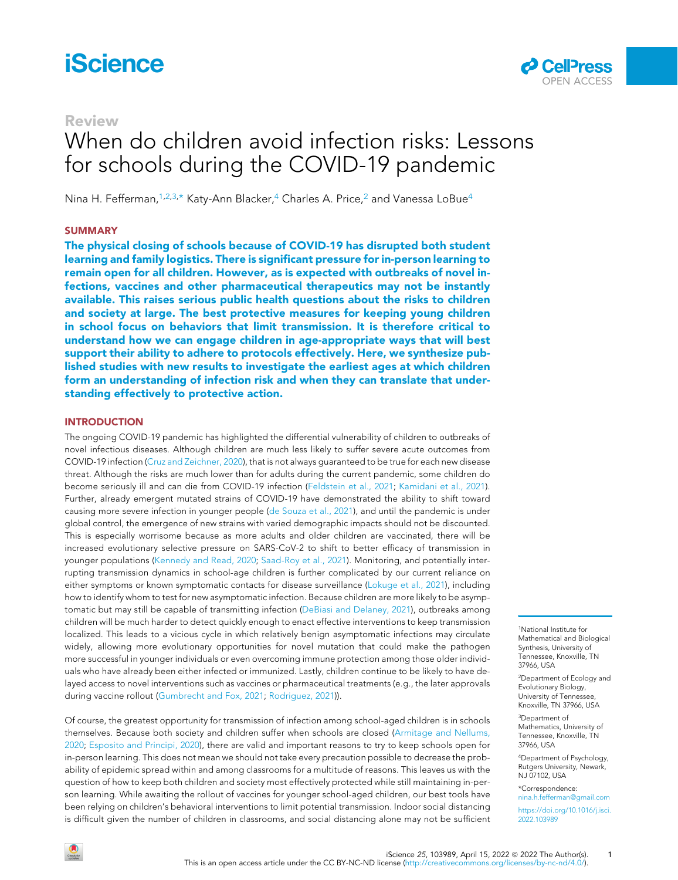# **iScience**

## Review

# When do children avoid infection risks: Lessons for schools during the COVID-19 pandemic

Nina H. Fefferman,<sup>[1](#page-0-0)[,2](#page-0-1)[,3](#page-0-2),[\\*](#page-0-3)</sup> Katy-Ann Blacker,<sup>4</sup> Charles A. Price,<sup>[2](#page-0-1)</sup> and Vanessa LoBue<sup>[4](#page-0-4)</sup>

### **SUMMARY**

The physical closing of schools because of COVID-19 has disrupted both student learning and family logistics. There is significant pressure for in-person learning to remain open for all children. However, as is expected with outbreaks of novel infections, vaccines and other pharmaceutical therapeutics may not be instantly available. This raises serious public health questions about the risks to children and society at large. The best protective measures for keeping young children in school focus on behaviors that limit transmission. It is therefore critical to understand how we can engage children in age-appropriate ways that will best support their ability to adhere to protocols effectively. Here, we synthesize published studies with new results to investigate the earliest ages at which children form an understanding of infection risk and when they can translate that understanding effectively to protective action.

#### **INTRODUCTION**

The ongoing COVID-19 pandemic has highlighted the differential vulnerability of children to outbreaks of novel infectious diseases. Although children are much less likely to suffer severe acute outcomes from COVID-19 infection ([Cruz and Zeichner, 2020](#page-5-0)), that is not always guaranteed to be true for each new disease threat. Although the risks are much lower than for adults during the current pandemic, some children do become seriously ill and can die from COVID-19 infection [\(Feldstein et al., 2021](#page-6-0); [Kamidani et al., 2021](#page-6-1)). Further, already emergent mutated strains of COVID-19 have demonstrated the ability to shift toward causing more severe infection in younger people [\(de Souza et al., 2021](#page-5-1)), and until the pandemic is under global control, the emergence of new strains with varied demographic impacts should not be discounted. This is especially worrisome because as more adults and older children are vaccinated, there will be increased evolutionary selective pressure on SARS-CoV-2 to shift to better efficacy of transmission in younger populations ([Kennedy and Read, 2020;](#page-6-2) [Saad-Roy et al., 2021\)](#page-6-3). Monitoring, and potentially interrupting transmission dynamics in school-age children is further complicated by our current reliance on either symptoms or known symptomatic contacts for disease surveillance [\(Lokuge et al., 2021](#page-6-4)), including how to identify whom to test for new asymptomatic infection. Because children are more likely to be asymptomatic but may still be capable of transmitting infection ([DeBiasi and Delaney, 2021\)](#page-5-2), outbreaks among children will be much harder to detect quickly enough to enact effective interventions to keep transmission localized. This leads to a vicious cycle in which relatively benign asymptomatic infections may circulate widely, allowing more evolutionary opportunities for novel mutation that could make the pathogen more successful in younger individuals or even overcoming immune protection among those older individuals who have already been either infected or immunized. Lastly, children continue to be likely to have delayed access to novel interventions such as vaccines or pharmaceutical treatments (e.g., the later approvals during vaccine rollout ([Gumbrecht and Fox, 2021;](#page-6-5) [Rodriguez, 2021\)](#page-6-6)).

Of course, the greatest opportunity for transmission of infection among school-aged children is in schools themselves. Because both society and children suffer when schools are closed [\(Armitage and Nellums,](#page-5-3) [2020;](#page-5-3) [Esposito and Principi, 2020\)](#page-6-7), there are valid and important reasons to try to keep schools open for in-person learning. This does not mean we should not take every precaution possible to decrease the probability of epidemic spread within and among classrooms for a multitude of reasons. This leaves us with the question of how to keep both children and society most effectively protected while still maintaining in-person learning. While awaiting the rollout of vaccines for younger school-aged children, our best tools have been relying on children's behavioral interventions to limit potential transmission. Indoor social distancing is difficult given the number of children in classrooms, and social distancing alone may not be sufficient

<span id="page-0-0"></span>1National Institute for Mathematical and Biological Synthesis, University of Tennessee, Knoxville, TN 37966, USA

**CellPress** OPEN ACCESS

<span id="page-0-1"></span>2Department of Ecology and Evolutionary Biology, University of Tennessee, Knoxville, TN 37966, USA

<span id="page-0-2"></span>3Department of Mathematics, University of Tennessee, Knoxville, TN 37966, USA

<span id="page-0-4"></span>4Department of Psychology, Rutgers University, Newark, NJ 07102, USA

<span id="page-0-3"></span>\*Correspondence: [nina.h.fefferman@gmail.com](mailto:nina.h.fefferman@gmail.com)

[https://doi.org/10.1016/j.isci.](https://doi.org/10.1016/j.isci.2022.103989) [2022.103989](https://doi.org/10.1016/j.isci.2022.103989)

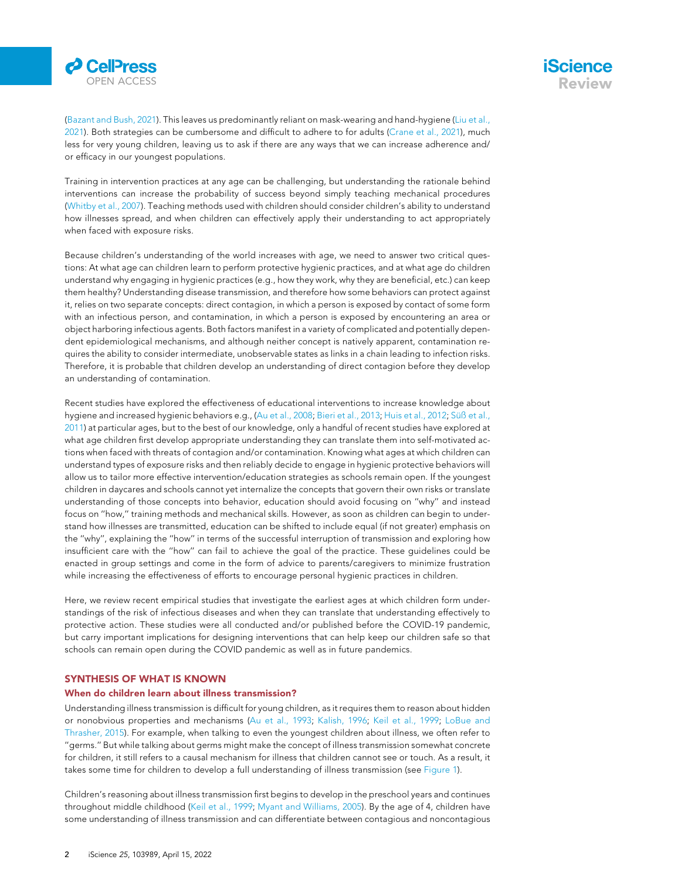



([Bazant and Bush, 2021](#page-5-4)). This leaves us predominantly reliant on mask-wearing and hand-hygiene ([Liu et al.,](#page-6-8) [2021\)](#page-6-8). Both strategies can be cumbersome and difficult to adhere to for adults [\(Crane et al., 2021\)](#page-5-5), much less for very young children, leaving us to ask if there are any ways that we can increase adherence and/ or efficacy in our youngest populations.

Training in intervention practices at any age can be challenging, but understanding the rationale behind interventions can increase the probability of success beyond simply teaching mechanical procedures ([Whitby et al., 2007](#page-6-9)). Teaching methods used with children should consider children's ability to understand how illnesses spread, and when children can effectively apply their understanding to act appropriately when faced with exposure risks.

Because children's understanding of the world increases with age, we need to answer two critical questions: At what age can children learn to perform protective hygienic practices, and at what age do children understand why engaging in hygienic practices (e.g., how they work, why they are beneficial, etc.) can keep them healthy? Understanding disease transmission, and therefore how some behaviors can protect against it, relies on two separate concepts: direct contagion, in which a person is exposed by contact of some form with an infectious person, and contamination, in which a person is exposed by encountering an area or object harboring infectious agents. Both factors manifest in a variety of complicated and potentially dependent epidemiological mechanisms, and although neither concept is natively apparent, contamination requires the ability to consider intermediate, unobservable states as links in a chain leading to infection risks. Therefore, it is probable that children develop an understanding of direct contagion before they develop an understanding of contamination.

Recent studies have explored the effectiveness of educational interventions to increase knowledge about hygiene and increased hygienic behaviors e.g., [\(Au et al., 2008](#page-5-6); [Bieri et al., 2013](#page-5-7); [Huis et al., 2012;](#page-6-10) Sü[ß et al.,](#page-6-11) [2011\)](#page-6-11) at particular ages, but to the best of our knowledge, only a handful of recent studies have explored at what age children first develop appropriate understanding they can translate them into self-motivated actions when faced with threats of contagion and/or contamination. Knowing what ages at which children can understand types of exposure risks and then reliably decide to engage in hygienic protective behaviors will allow us to tailor more effective intervention/education strategies as schools remain open. If the youngest children in daycares and schools cannot yet internalize the concepts that govern their own risks or translate understanding of those concepts into behavior, education should avoid focusing on ''why'' and instead focus on ''how,'' training methods and mechanical skills. However, as soon as children can begin to understand how illnesses are transmitted, education can be shifted to include equal (if not greater) emphasis on the ''why'', explaining the ''how'' in terms of the successful interruption of transmission and exploring how insufficient care with the ''how'' can fail to achieve the goal of the practice. These guidelines could be enacted in group settings and come in the form of advice to parents/caregivers to minimize frustration while increasing the effectiveness of efforts to encourage personal hygienic practices in children.

Here, we review recent empirical studies that investigate the earliest ages at which children form understandings of the risk of infectious diseases and when they can translate that understanding effectively to protective action. These studies were all conducted and/or published before the COVID-19 pandemic, but carry important implications for designing interventions that can help keep our children safe so that schools can remain open during the COVID pandemic as well as in future pandemics.

### SYNTHESIS OF WHAT IS KNOWN

#### When do children learn about illness transmission?

Understanding illness transmission is difficult for young children, as it requires them to reason about hidden or nonobvious properties and mechanisms [\(Au et al., 1993](#page-5-8); [Kalish, 1996;](#page-6-12) [Keil et al., 1999;](#page-6-13) [LoBue and](#page-6-14) [Thrasher, 2015\)](#page-6-14). For example, when talking to even the youngest children about illness, we often refer to ''germs.'' But while talking about germs might make the concept of illness transmission somewhat concrete for children, it still refers to a causal mechanism for illness that children cannot see or touch. As a result, it takes some time for children to develop a full understanding of illness transmission (see [Figure 1](#page-2-0)).

Children's reasoning about illness transmission first begins to develop in the preschool years and continues throughout middle childhood ([Keil et al., 1999;](#page-6-13) [Myant and Williams, 2005\)](#page-6-15). By the age of 4, children have some understanding of illness transmission and can differentiate between contagious and noncontagious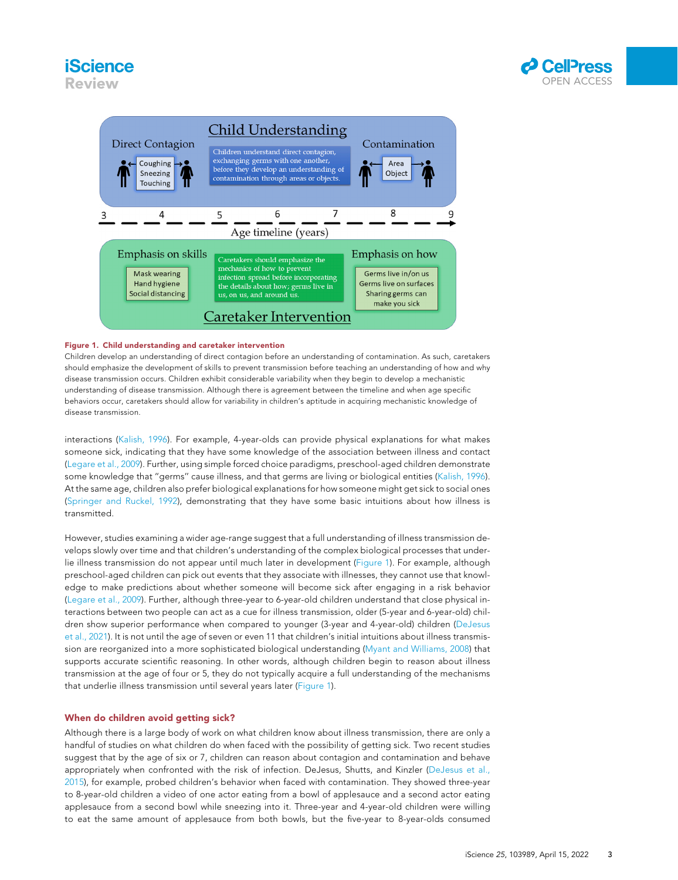## **iScience** Review



<span id="page-2-0"></span>

#### Figure 1. Child understanding and caretaker intervention

Children develop an understanding of direct contagion before an understanding of contamination. As such, caretakers should emphasize the development of skills to prevent transmission before teaching an understanding of how and why disease transmission occurs. Children exhibit considerable variability when they begin to develop a mechanistic understanding of disease transmission. Although there is agreement between the timeline and when age specific behaviors occur, caretakers should allow for variability in children's aptitude in acquiring mechanistic knowledge of disease transmission.

interactions [\(Kalish, 1996\)](#page-6-12). For example, 4-year-olds can provide physical explanations for what makes someone sick, indicating that they have some knowledge of the association between illness and contact ([Legare et al., 2009\)](#page-6-16). Further, using simple forced choice paradigms, preschool-aged children demonstrate some knowledge that ''germs'' cause illness, and that germs are living or biological entities [\(Kalish, 1996](#page-6-12)). At the same age, children also prefer biological explanations for how someone might get sick to social ones ([Springer and Ruckel, 1992\)](#page-6-17), demonstrating that they have some basic intuitions about how illness is transmitted.

However, studies examining a wider age-range suggest that a full understanding of illness transmission develops slowly over time and that children's understanding of the complex biological processes that underlie illness transmission do not appear until much later in development ([Figure 1\)](#page-2-0). For example, although preschool-aged children can pick out events that they associate with illnesses, they cannot use that knowledge to make predictions about whether someone will become sick after engaging in a risk behavior ([Legare et al., 2009\)](#page-6-16). Further, although three-year to 6-year-old children understand that close physical interactions between two people can act as a cue for illness transmission, older (5-year and 6-year-old) children show superior performance when compared to younger (3-year and 4-year-old) children ([DeJesus](#page-6-18) [et al., 2021](#page-6-18)). It is not until the age of seven or even 11 that children's initial intuitions about illness transmission are reorganized into a more sophisticated biological understanding ([Myant and Williams, 2008\)](#page-6-19) that supports accurate scientific reasoning. In other words, although children begin to reason about illness transmission at the age of four or 5, they do not typically acquire a full understanding of the mechanisms that underlie illness transmission until several years later [\(Figure 1\)](#page-2-0).

#### When do children avoid getting sick?

Although there is a large body of work on what children know about illness transmission, there are only a handful of studies on what children do when faced with the possibility of getting sick. Two recent studies suggest that by the age of six or 7, children can reason about contagion and contamination and behave appropriately when confronted with the risk of infection. DeJesus, Shutts, and Kinzler ([DeJesus et al.,](#page-6-20) [2015\)](#page-6-20), for example, probed children's behavior when faced with contamination. They showed three-year to 8-year-old children a video of one actor eating from a bowl of applesauce and a second actor eating applesauce from a second bowl while sneezing into it. Three-year and 4-year-old children were willing to eat the same amount of applesauce from both bowls, but the five-year to 8-year-olds consumed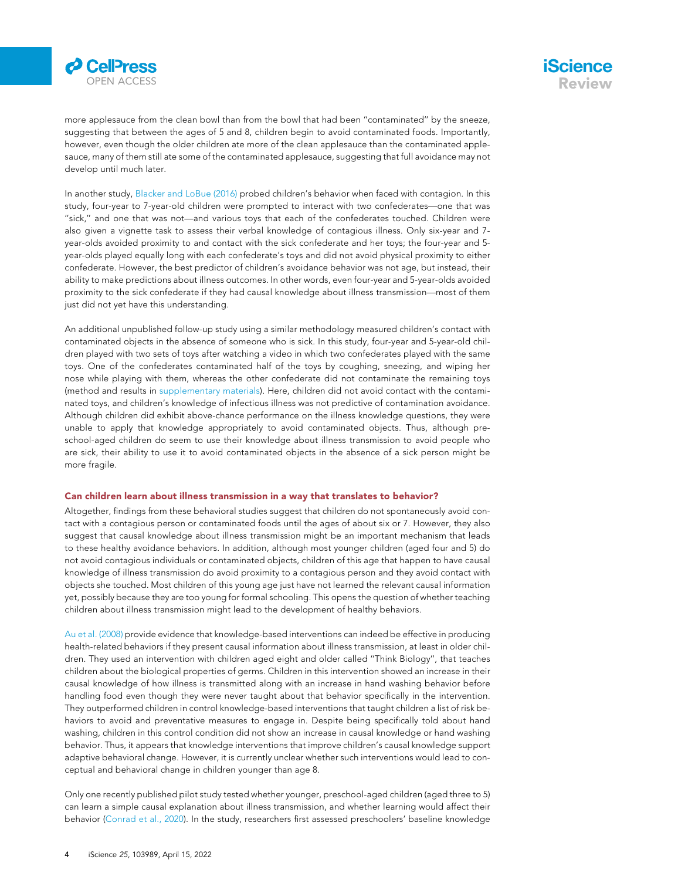



more applesauce from the clean bowl than from the bowl that had been ''contaminated'' by the sneeze, suggesting that between the ages of 5 and 8, children begin to avoid contaminated foods. Importantly, however, even though the older children ate more of the clean applesauce than the contaminated applesauce, many of them still ate some of the contaminated applesauce, suggesting that full avoidance may not develop until much later.

In another study, [Blacker and LoBue \(2016\)](#page-5-9) probed children's behavior when faced with contagion. In this study, four-year to 7-year-old children were prompted to interact with two confederates—one that was ''sick,'' and one that was not—and various toys that each of the confederates touched. Children were also given a vignette task to assess their verbal knowledge of contagious illness. Only six-year and 7 year-olds avoided proximity to and contact with the sick confederate and her toys; the four-year and 5 year-olds played equally long with each confederate's toys and did not avoid physical proximity to either confederate. However, the best predictor of children's avoidance behavior was not age, but instead, their ability to make predictions about illness outcomes. In other words, even four-year and 5-year-olds avoided proximity to the sick confederate if they had causal knowledge about illness transmission—most of them just did not yet have this understanding.

An additional unpublished follow-up study using a similar methodology measured children's contact with contaminated objects in the absence of someone who is sick. In this study, four-year and 5-year-old children played with two sets of toys after watching a video in which two confederates played with the same toys. One of the confederates contaminated half of the toys by coughing, sneezing, and wiping her nose while playing with them, whereas the other confederate did not contaminate the remaining toys (method and results in [supplementary materials](#page-5-10)). Here, children did not avoid contact with the contaminated toys, and children's knowledge of infectious illness was not predictive of contamination avoidance. Although children did exhibit above-chance performance on the illness knowledge questions, they were unable to apply that knowledge appropriately to avoid contaminated objects. Thus, although preschool-aged children do seem to use their knowledge about illness transmission to avoid people who are sick, their ability to use it to avoid contaminated objects in the absence of a sick person might be more fragile.

#### Can children learn about illness transmission in a way that translates to behavior?

Altogether, findings from these behavioral studies suggest that children do not spontaneously avoid contact with a contagious person or contaminated foods until the ages of about six or 7. However, they also suggest that causal knowledge about illness transmission might be an important mechanism that leads to these healthy avoidance behaviors. In addition, although most younger children (aged four and 5) do not avoid contagious individuals or contaminated objects, children of this age that happen to have causal knowledge of illness transmission do avoid proximity to a contagious person and they avoid contact with objects she touched. Most children of this young age just have not learned the relevant causal information yet, possibly because they are too young for formal schooling. This opens the question of whether teaching children about illness transmission might lead to the development of healthy behaviors.

[Au et al. \(2008\)](#page-5-6) provide evidence that knowledge-based interventions can indeed be effective in producing health-related behaviors if they present causal information about illness transmission, at least in older children. They used an intervention with children aged eight and older called ''Think Biology'', that teaches children about the biological properties of germs. Children in this intervention showed an increase in their causal knowledge of how illness is transmitted along with an increase in hand washing behavior before handling food even though they were never taught about that behavior specifically in the intervention. They outperformed children in control knowledge-based interventions that taught children a list of risk behaviors to avoid and preventative measures to engage in. Despite being specifically told about hand washing, children in this control condition did not show an increase in causal knowledge or hand washing behavior. Thus, it appears that knowledge interventions that improve children's causal knowledge support adaptive behavioral change. However, it is currently unclear whether such interventions would lead to conceptual and behavioral change in children younger than age 8.

Only one recently published pilot study tested whether younger, preschool-aged children (aged three to 5) can learn a simple causal explanation about illness transmission, and whether learning would affect their behavior ([Conrad et al., 2020](#page-5-11)). In the study, researchers first assessed preschoolers' baseline knowledge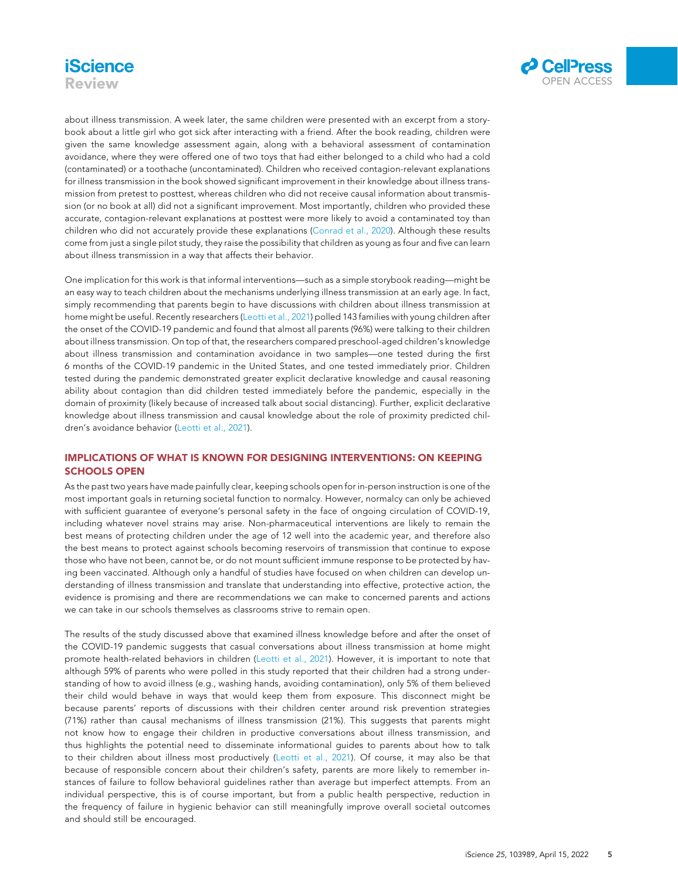# **iScience** Review



about illness transmission. A week later, the same children were presented with an excerpt from a storybook about a little girl who got sick after interacting with a friend. After the book reading, children were given the same knowledge assessment again, along with a behavioral assessment of contamination avoidance, where they were offered one of two toys that had either belonged to a child who had a cold (contaminated) or a toothache (uncontaminated). Children who received contagion-relevant explanations for illness transmission in the book showed significant improvement in their knowledge about illness transmission from pretest to posttest, whereas children who did not receive causal information about transmission (or no book at all) did not a significant improvement. Most importantly, children who provided these accurate, contagion-relevant explanations at posttest were more likely to avoid a contaminated toy than children who did not accurately provide these explanations [\(Conrad et al., 2020\)](#page-5-11). Although these results come from just a single pilot study, they raise the possibility that children as young as four and five can learn about illness transmission in a way that affects their behavior.

One implication for this work is that informal interventions—such as a simple storybook reading—might be an easy way to teach children about the mechanisms underlying illness transmission at an early age. In fact, simply recommending that parents begin to have discussions with children about illness transmission at home might be useful. Recently researchers [\(Leotti et al., 2021](#page-6-21)) polled 143 families with young children after the onset of the COVID-19 pandemic and found that almost all parents (96%) were talking to their children about illness transmission. On top of that, the researchers compared preschool-aged children's knowledge about illness transmission and contamination avoidance in two samples—one tested during the first 6 months of the COVID-19 pandemic in the United States, and one tested immediately prior. Children tested during the pandemic demonstrated greater explicit declarative knowledge and causal reasoning ability about contagion than did children tested immediately before the pandemic, especially in the domain of proximity (likely because of increased talk about social distancing). Further, explicit declarative knowledge about illness transmission and causal knowledge about the role of proximity predicted children's avoidance behavior ([Leotti et al., 2021](#page-6-21)).

## IMPLICATIONS OF WHAT IS KNOWN FOR DESIGNING INTERVENTIONS: ON KEEPING SCHOOLS OPEN

As the past two years have made painfully clear, keeping schools open for in-person instruction is one of the most important goals in returning societal function to normalcy. However, normalcy can only be achieved with sufficient guarantee of everyone's personal safety in the face of ongoing circulation of COVID-19, including whatever novel strains may arise. Non-pharmaceutical interventions are likely to remain the best means of protecting children under the age of 12 well into the academic year, and therefore also the best means to protect against schools becoming reservoirs of transmission that continue to expose those who have not been, cannot be, or do not mount sufficient immune response to be protected by having been vaccinated. Although only a handful of studies have focused on when children can develop understanding of illness transmission and translate that understanding into effective, protective action, the evidence is promising and there are recommendations we can make to concerned parents and actions we can take in our schools themselves as classrooms strive to remain open.

The results of the study discussed above that examined illness knowledge before and after the onset of the COVID-19 pandemic suggests that casual conversations about illness transmission at home might promote health-related behaviors in children ([Leotti et al., 2021\)](#page-6-21). However, it is important to note that although 59% of parents who were polled in this study reported that their children had a strong understanding of how to avoid illness (e.g., washing hands, avoiding contamination), only 5% of them believed their child would behave in ways that would keep them from exposure. This disconnect might be because parents' reports of discussions with their children center around risk prevention strategies (71%) rather than causal mechanisms of illness transmission (21%). This suggests that parents might not know how to engage their children in productive conversations about illness transmission, and thus highlights the potential need to disseminate informational guides to parents about how to talk to their children about illness most productively [\(Leotti et al., 2021](#page-6-21)). Of course, it may also be that because of responsible concern about their children's safety, parents are more likely to remember instances of failure to follow behavioral guidelines rather than average but imperfect attempts. From an individual perspective, this is of course important, but from a public health perspective, reduction in the frequency of failure in hygienic behavior can still meaningfully improve overall societal outcomes and should still be encouraged.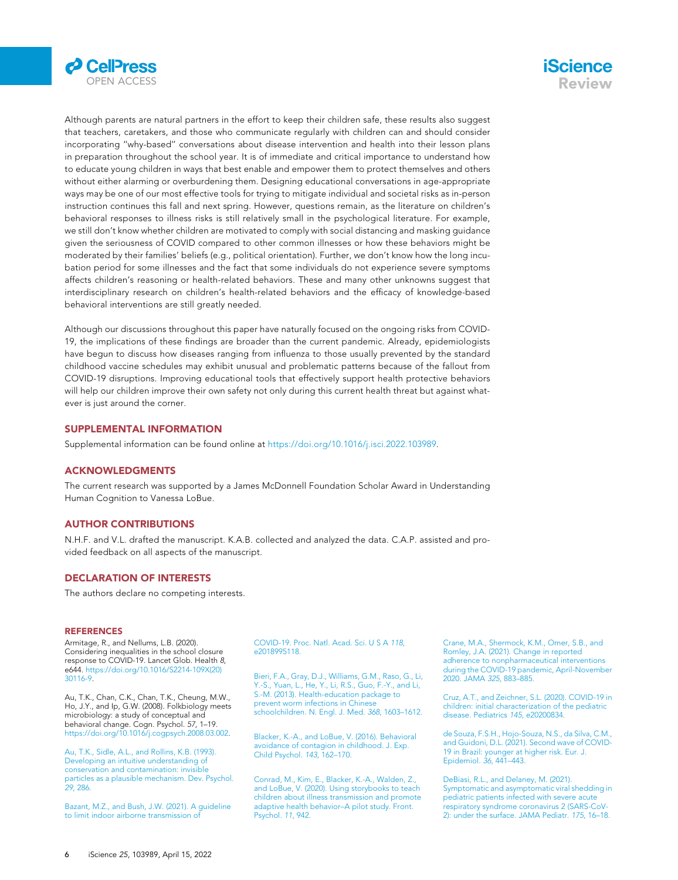



Although parents are natural partners in the effort to keep their children safe, these results also suggest that teachers, caretakers, and those who communicate regularly with children can and should consider incorporating ''why-based'' conversations about disease intervention and health into their lesson plans in preparation throughout the school year. It is of immediate and critical importance to understand how to educate young children in ways that best enable and empower them to protect themselves and others without either alarming or overburdening them. Designing educational conversations in age-appropriate ways may be one of our most effective tools for trying to mitigate individual and societal risks as in-person instruction continues this fall and next spring. However, questions remain, as the literature on children's behavioral responses to illness risks is still relatively small in the psychological literature. For example, we still don't know whether children are motivated to comply with social distancing and masking guidance given the seriousness of COVID compared to other common illnesses or how these behaviors might be moderated by their families' beliefs (e.g., political orientation). Further, we don't know how the long incubation period for some illnesses and the fact that some individuals do not experience severe symptoms affects children's reasoning or health-related behaviors. These and many other unknowns suggest that interdisciplinary research on children's health-related behaviors and the efficacy of knowledge-based behavioral interventions are still greatly needed.

Although our discussions throughout this paper have naturally focused on the ongoing risks from COVID-19, the implications of these findings are broader than the current pandemic. Already, epidemiologists have begun to discuss how diseases ranging from influenza to those usually prevented by the standard childhood vaccine schedules may exhibit unusual and problematic patterns because of the fallout from COVID-19 disruptions. Improving educational tools that effectively support health protective behaviors will help our children improve their own safety not only during this current health threat but against whatever is just around the corner.

#### <span id="page-5-10"></span>SUPPLEMENTAL INFORMATION

Supplemental information can be found online at <https://doi.org/10.1016/j.isci.2022.103989>.

#### ACKNOWLEDGMENTS

The current research was supported by a James McDonnell Foundation Scholar Award in Understanding Human Cognition to Vanessa LoBue.

#### AUTHOR CONTRIBUTIONS

N.H.F. and V.L. drafted the manuscript. K.A.B. collected and analyzed the data. C.A.P. assisted and provided feedback on all aspects of the manuscript.

#### DECLARATION OF INTERESTS

The authors declare no competing interests.

#### **REFERENCES**

<span id="page-5-3"></span>Armitage, R., and Nellums, L.B. (2020). Considering inequalities in the school closure response to COVID-19. Lancet Glob. Health 8, e644. [https://doi.org/10.1016/S2214-109X\(20\)](https://doi.org/10.1016/S2214-109X(20)30116-9) [30116-9.](https://doi.org/10.1016/S2214-109X(20)30116-9)

<span id="page-5-6"></span>Au, T.K., Chan, C.K., Chan, T.K., Cheung, M.W., Ho, J.Y., and Ip, G.W. (2008). Folkbiology meets microbiology: a study of conceptual and behavioral change. Cogn. Psychol. 57, 1–19. <https://doi.org/10.1016/j.cogpsych.2008.03.002>.

<span id="page-5-8"></span>[Au, T.K., Sidle, A.L., and Rollins, K.B. \(1993\).](http://refhub.elsevier.com/S2589-0042(22)00259-0/sref3) [Developing an intuitive understanding of](http://refhub.elsevier.com/S2589-0042(22)00259-0/sref3) [conservation and contamination: invisible](http://refhub.elsevier.com/S2589-0042(22)00259-0/sref3) [particles as a plausible mechanism. Dev. Psychol.](http://refhub.elsevier.com/S2589-0042(22)00259-0/sref3) 29[, 286.](http://refhub.elsevier.com/S2589-0042(22)00259-0/sref3)

<span id="page-5-4"></span>[Bazant, M.Z., and Bush, J.W. \(2021\). A guideline](http://refhub.elsevier.com/S2589-0042(22)00259-0/sref4) [to limit indoor airborne transmission of](http://refhub.elsevier.com/S2589-0042(22)00259-0/sref4)

[COVID-19. Proc. Natl. Acad. Sci. U S A](http://refhub.elsevier.com/S2589-0042(22)00259-0/sref4) 118, [e2018995118.](http://refhub.elsevier.com/S2589-0042(22)00259-0/sref4)

<span id="page-5-7"></span>[Bieri, F.A., Gray, D.J., Williams, G.M., Raso, G., Li,](http://refhub.elsevier.com/S2589-0042(22)00259-0/sref5) [Y.-S., Yuan, L., He, Y., Li, R.S., Guo, F.-Y., and Li,](http://refhub.elsevier.com/S2589-0042(22)00259-0/sref5) [S.-M. \(2013\). Health-education package to](http://refhub.elsevier.com/S2589-0042(22)00259-0/sref5) [prevent worm infections in Chinese](http://refhub.elsevier.com/S2589-0042(22)00259-0/sref5) [schoolchildren. N. Engl. J. Med.](http://refhub.elsevier.com/S2589-0042(22)00259-0/sref5) 368, 1603–1612.

<span id="page-5-9"></span>[Blacker, K.-A., and LoBue, V. \(2016\). Behavioral](http://refhub.elsevier.com/S2589-0042(22)00259-0/sref6) [avoidance of contagion in childhood. J. Exp.](http://refhub.elsevier.com/S2589-0042(22)00259-0/sref6) [Child Psychol.](http://refhub.elsevier.com/S2589-0042(22)00259-0/sref6) 143, 162–170.

<span id="page-5-11"></span>[Conrad, M., Kim, E., Blacker, K.-A., Walden, Z.,](http://refhub.elsevier.com/S2589-0042(22)00259-0/sref7) [and LoBue, V. \(2020\). Using storybooks to teach](http://refhub.elsevier.com/S2589-0042(22)00259-0/sref7) [children about illness transmission and promote](http://refhub.elsevier.com/S2589-0042(22)00259-0/sref7) [adaptive health behavior–A pilot study. Front.](http://refhub.elsevier.com/S2589-0042(22)00259-0/sref7) [Psychol.](http://refhub.elsevier.com/S2589-0042(22)00259-0/sref7) 11, 942.

<span id="page-5-5"></span>[Crane, M.A., Shermock, K.M., Omer, S.B., and](http://refhub.elsevier.com/S2589-0042(22)00259-0/sref8) [Romley, J.A. \(2021\). Change in reported](http://refhub.elsevier.com/S2589-0042(22)00259-0/sref8) [adherence to nonpharmaceutical interventions](http://refhub.elsevier.com/S2589-0042(22)00259-0/sref8) [during the COVID-19 pandemic, April-November](http://refhub.elsevier.com/S2589-0042(22)00259-0/sref8) [2020. JAMA](http://refhub.elsevier.com/S2589-0042(22)00259-0/sref8) 325, 883–885.

<span id="page-5-0"></span>[Cruz, A.T., and Zeichner, S.L. \(2020\). COVID-19 in](http://refhub.elsevier.com/S2589-0042(22)00259-0/sref9) [children: initial characterization of the pediatric](http://refhub.elsevier.com/S2589-0042(22)00259-0/sref9) [disease. Pediatrics](http://refhub.elsevier.com/S2589-0042(22)00259-0/sref9) 145, e20200834.

<span id="page-5-1"></span>[de Souza, F.S.H., Hojo-Souza, N.S., da Silva, C.M.,](http://refhub.elsevier.com/S2589-0042(22)00259-0/sref10) [and Guidoni, D.L. \(2021\). Second wave of COVID-](http://refhub.elsevier.com/S2589-0042(22)00259-0/sref10)[19 in Brazil: younger at higher risk. Eur. J.](http://refhub.elsevier.com/S2589-0042(22)00259-0/sref10) [Epidemiol.](http://refhub.elsevier.com/S2589-0042(22)00259-0/sref10) 36, 441–443.

<span id="page-5-2"></span>[DeBiasi, R.L., and Delaney, M. \(2021\).](http://refhub.elsevier.com/S2589-0042(22)00259-0/sref11) [Symptomatic and asymptomatic viral shedding in](http://refhub.elsevier.com/S2589-0042(22)00259-0/sref11) [pediatric patients infected with severe acute](http://refhub.elsevier.com/S2589-0042(22)00259-0/sref11) [respiratory syndrome coronavirus 2 \(SARS-CoV-](http://refhub.elsevier.com/S2589-0042(22)00259-0/sref11)[2\): under the surface. JAMA Pediatr.](http://refhub.elsevier.com/S2589-0042(22)00259-0/sref11) 175, 16–18.